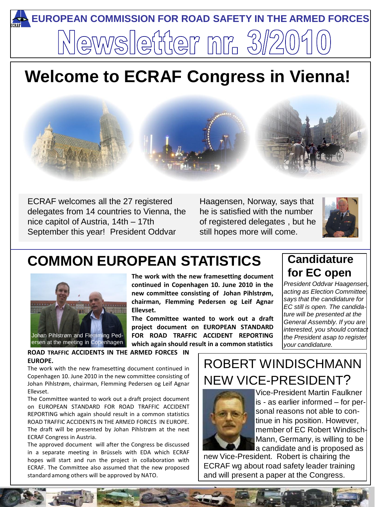# **EUROPEAN COMMISSION FOR ROAD SAFETY IN THE ARMED FORCES** ewsletter nr. 3

# **Welcome to ECRAF Congress in Vienna!**



ECRAF welcomes all the 27 registered delegates from 14 countries to Vienna, the nice capitol of Austria, 14th – 17th September this year! President Oddvar

Haagensen, Norway, says that he is satisfied with the number of registered delegates , but he still hopes more will come.



# **COMMON EUROPEAN STATISTICS**



**The work with the new framesetting document continued in Copenhagen 10. June 2010 in the new committee consisting of Johan Pihlstrøm, chairman, Flemming Pedersen og Leif Agnar Ellevset.**

**The Committee wanted to work out a draft project document on EUROPEAN STANDARD FOR ROAD TRAFFIC ACCIDENT REPORTING which again should result in a common statistics**

#### **Candidature for EC open**

*President Oddvar Haagensen, acting as Election Committee, says that the candidature for EC still is open. The candidature will be presented at the General Assembly. If you are interested, you should contact the President asap to register your candidature.*

**ROAD TRAFFIC ACCIDENTS IN THE ARMED FORCES IN EUROPE.**

The work with the new framesetting document continued in Copenhagen 10. June 2010 in the new committee consisting of Johan Pihlstrøm, chairman, Flemming Pedersen og Leif Agnar Ellevset.

The Committee wanted to work out a draft project document on EUROPEAN STANDARD FOR ROAD TRAFFIC ACCIDENT REPORTING which again should result in a common statistics ROAD TRAFFIC ACCIDENTS IN THE ARMED FORCES IN EUROPE. The draft will be presented by Johan Pihlstrøm at the next ECRAF Congress in Austria.

The approved document will after the Congress be discussed in a separate meeting in Brüssels with EDA which ECRAF hopes will start and run the project in collaboration with ECRAF. The Committee also assumed that the new proposed standard among others will be approved by NATO.

# ROBERT WINDISCHMANN NEW VICE-PRESIDENT?



Vice-President Martin Faulkner is - as earlier informed – for personal reasons not able to continue in his position. However, member of EC Robert Windisch-Mann, Germany, is willing to be la candidate and is proposed as

new Vice-President. Robert is chairing the ECRAF wg about road safety leader training and will present a paper at the Congress.